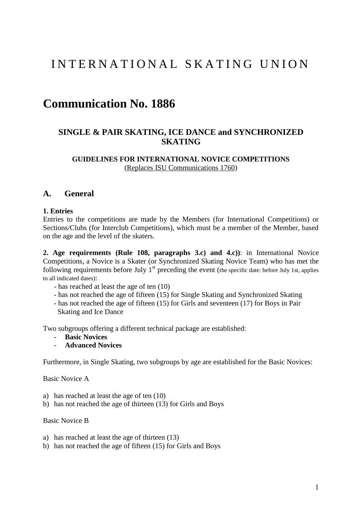# I N T E R N A T I O N A L S K A T I N G U N I O N

# **Communication No. 1886**

# **SINGLE & PAIR SKATING, ICE DANCE and SYNCHRONIZED SKATING**

#### **GUIDELINES FOR INTERNATIONAL NOVICE COMPETITIONS** (Replaces ISU Communications 1760)

#### **A. General**

#### **1. Entries**

Entries to the competitions are made by the Members (for International Competitions) or Sections/Clubs (for Interclub Competitions), which must be a member of the Member, based on the age and the level of the skaters.

**2. Age requirements (Rule 108, paragraphs 3.c) and 4.c))**: in International Novice Competitions, a Novice is a Skater (or Synchronized Skating Novice Team) who has met the following requirements before July  $1<sup>st</sup>$  preceding the event (the specific date: before July 1st, applies to all indicated dates):

- has reached at least the age of ten (10)
- has not reached the age of fifteen (15) for Single Skating and Synchronized Skating
- has not reached the age of fifteen (15) for Girls and seventeen (17) for Boys in Pair Skating and Ice Dance

Two subgroups offering a different technical package are established:

- **Basic Novices**
- **Advanced Novices**

Furthermore, in Single Skating, two subgroups by age are established for the Basic Novices:

Basic Novice A

- a) has reached at least the age of ten (10)
- b) has not reached the age of thirteen (13) for Girls and Boys

#### Basic Novice B

- a) has reached at least the age of thirteen (13)
- b) has not reached the age of fifteen (15) for Girls and Boys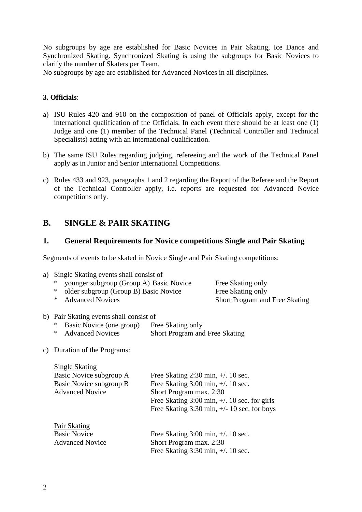No subgroups by age are established for Basic Novices in Pair Skating, Ice Dance and Synchronized Skating. Synchronized Skating is using the subgroups for Basic Novices to clarify the number of Skaters per Team.

No subgroups by age are established for Advanced Novices in all disciplines.

#### **3. Officials**:

- a) ISU Rules 420 and 910 on the composition of panel of Officials apply, except for the international qualification of the Officials. In each event there should be at least one (1) Judge and one (1) member of the Technical Panel (Technical Controller and Technical Specialists) acting with an international qualification.
- b) The same ISU Rules regarding judging, refereeing and the work of the Technical Panel apply as in Junior and Senior International Competitions.
- c) Rules 433 and 923, paragraphs 1 and 2 regarding the Report of the Referee and the Report of the Technical Controller apply, i.e. reports are requested for Advanced Novice competitions only.

# **B. SINGLE & PAIR SKATING**

#### **1. General Requirements for Novice competitions Single and Pair Skating**

Segments of events to be skated in Novice Single and Pair Skating competitions:

| a) | Single Skating events shall consist of            |                                                                                                               |                                       |  |  |
|----|---------------------------------------------------|---------------------------------------------------------------------------------------------------------------|---------------------------------------|--|--|
|    | younger subgroup (Group A) Basic Novice<br>∗      |                                                                                                               | Free Skating only                     |  |  |
|    | $\ast$<br>older subgroup (Group B) Basic Novice   |                                                                                                               | Free Skating only                     |  |  |
|    | $\ast$<br><b>Advanced Novices</b>                 |                                                                                                               | <b>Short Program and Free Skating</b> |  |  |
|    | b) Pair Skating events shall consist of           |                                                                                                               |                                       |  |  |
|    | Basic Novice (one group)<br>∗                     | Free Skating only                                                                                             |                                       |  |  |
|    | <b>Advanced Novices</b><br>∗                      | <b>Short Program and Free Skating</b>                                                                         |                                       |  |  |
|    |                                                   |                                                                                                               |                                       |  |  |
| C) | Duration of the Programs:                         |                                                                                                               |                                       |  |  |
|    | <b>Single Skating</b><br>Basic Novice subgroup A  | Free Skating $2:30$ min, $+/$ . 10 sec.<br>Basic Novice subgroup B<br>Free Skating $3:00$ min, $+/$ . 10 sec. |                                       |  |  |
|    |                                                   |                                                                                                               |                                       |  |  |
|    | <b>Advanced Novice</b><br>Short Program max. 2:30 |                                                                                                               |                                       |  |  |
|    |                                                   | Free Skating $3:00$ min, $+/$ . 10 sec. for girls<br>Free Skating 3:30 min, $+/- 10$ sec. for boys            |                                       |  |  |
|    |                                                   |                                                                                                               |                                       |  |  |
|    |                                                   |                                                                                                               |                                       |  |  |
|    | Pair Skating                                      |                                                                                                               |                                       |  |  |

| <b>Basic Novice</b>    | Free Skating $3:00$ min, $+/$ . 10 sec.  |
|------------------------|------------------------------------------|
| <b>Advanced Novice</b> | Short Program max. 2:30                  |
|                        | Free Skating $3:30$ min, $\pm/0.10$ sec. |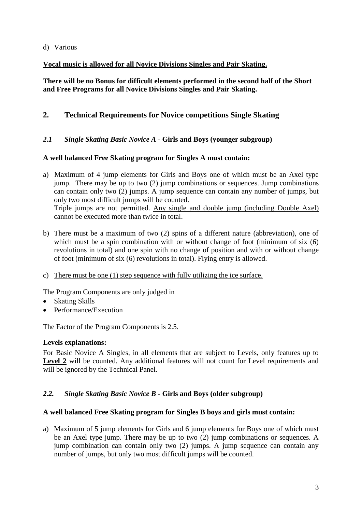# d) Various

# **Vocal music is allowed for all Novice Divisions Singles and Pair Skating.**

**There will be no Bonus for difficult elements performed in the second half of the Short and Free Programs for all Novice Divisions Singles and Pair Skating.**

# **2. Technical Requirements for Novice competitions Single Skating**

*2.1 Single Skating Basic Novice A* **- Girls and Boys (younger subgroup)**

# **A well balanced Free Skating program for Singles A must contain:**

a) Maximum of 4 jump elements for Girls and Boys one of which must be an Axel type jump. There may be up to two (2) jump combinations or sequences. Jump combinations can contain only two (2) jumps. A jump sequence can contain any number of jumps, but only two most difficult jumps will be counted. Triple jumps are not permitted. Any single and double jump (including Double Axel)

cannot be executed more than twice in total.

- b) There must be a maximum of two (2) spins of a different nature (abbreviation), one of which must be a spin combination with or without change of foot (minimum of six  $(6)$ ) revolutions in total) and one spin with no change of position and with or without change of foot (minimum of six (6) revolutions in total). Flying entry is allowed.
- c) There must be one (1) step sequence with fully utilizing the ice surface.

The Program Components are only judged in

- Skating Skills
- Performance/Execution

The Factor of the Program Components is 2.5.

# **Levels explanations:**

For Basic Novice A Singles, in all elements that are subject to Levels, only features up to Level 2 will be counted. Any additional features will not count for Level requirements and will be ignored by the Technical Panel.

# *2.2. Single Skating Basic Novice B* **- Girls and Boys (older subgroup)**

# **A well balanced Free Skating program for Singles B boys and girls must contain:**

a) Maximum of 5 jump elements for Girls and 6 jump elements for Boys one of which must be an Axel type jump. There may be up to two (2) jump combinations or sequences. A jump combination can contain only two (2) jumps. A jump sequence can contain any number of jumps, but only two most difficult jumps will be counted.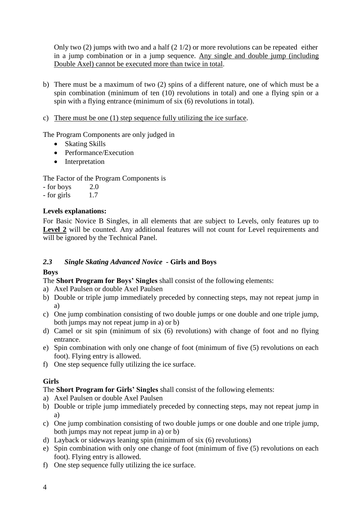Only two  $(2)$  jumps with two and a half  $(2 \frac{1}{2})$  or more revolutions can be repeated either in a jump combination or in a jump sequence. Any single and double jump (including Double Axel) cannot be executed more than twice in total.

- b) There must be a maximum of two (2) spins of a different nature, one of which must be a spin combination (minimum of ten (10) revolutions in total) and one a flying spin or a spin with a flying entrance (minimum of six (6) revolutions in total).
- c) There must be one (1) step sequence fully utilizing the ice surface.

The Program Components are only judged in

- Skating Skills
- Performance/Execution
- Interpretation

The Factor of the Program Components is

- $-$  for boys  $2.0$
- $-$  for girls  $1.7$

# **Levels explanations:**

For Basic Novice B Singles, in all elements that are subject to Levels, only features up to Level 2 will be counted. Any additional features will not count for Level requirements and will be ignored by the Technical Panel.

# *2.3 Single Skating Advanced Novice* **- Girls and Boys**

# **Boys**

The **Short Program for Boys' Singles** shall consist of the following elements:

- a) Axel Paulsen or double Axel Paulsen
- b) Double or triple jump immediately preceded by connecting steps, may not repeat jump in a)
- c) One jump combination consisting of two double jumps or one double and one triple jump, both jumps may not repeat jump in a) or b)
- d) Camel or sit spin (minimum of six (6) revolutions) with change of foot and no flying entrance.
- e) Spin combination with only one change of foot (minimum of five (5) revolutions on each foot). Flying entry is allowed.
- f) One step sequence fully utilizing the ice surface.

# **Girls**

The **Short Program for Girls' Singles** shall consist of the following elements:

- a) Axel Paulsen or double Axel Paulsen
- b) Double or triple jump immediately preceded by connecting steps, may not repeat jump in a)
- c) One jump combination consisting of two double jumps or one double and one triple jump, both jumps may not repeat jump in a) or b)
- d) Layback or sideways leaning spin (minimum of six (6) revolutions)
- e) Spin combination with only one change of foot (minimum of five (5) revolutions on each foot). Flying entry is allowed.
- f) One step sequence fully utilizing the ice surface.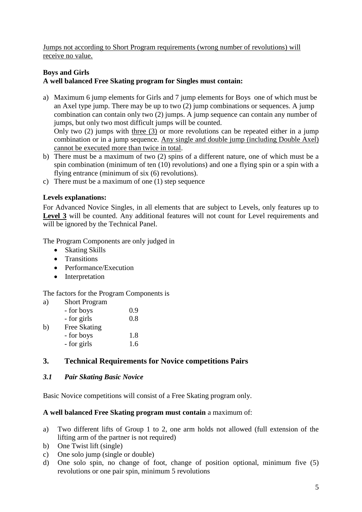Jumps not according to Short Program requirements (wrong number of revolutions) will receive no value.

# **Boys and Girls**

# **A well balanced Free Skating program for Singles must contain:**

- a) Maximum 6 jump elements for Girls and 7 jump elements for Boys one of which must be an Axel type jump. There may be up to two (2) jump combinations or sequences. A jump combination can contain only two (2) jumps. A jump sequence can contain any number of jumps, but only two most difficult jumps will be counted. Only two (2) jumps with three (3) or more revolutions can be repeated either in a jump combination or in a jump sequence. Any single and double jump (including Double Axel) cannot be executed more than twice in total.
- b) There must be a maximum of two (2) spins of a different nature, one of which must be a spin combination (minimum of ten (10) revolutions) and one a flying spin or a spin with a flying entrance (minimum of six (6) revolutions).
- c) There must be a maximum of one (1) step sequence

# **Levels explanations:**

For Advanced Novice Singles, in all elements that are subject to Levels, only features up to Level 3 will be counted. Any additional features will not count for Level requirements and will be ignored by the Technical Panel.

The Program Components are only judged in

- Skating Skills
- Transitions
- Performance/Execution
- Interpretation

The factors for the Program Components is

a) Short Program

|    | - for boys   | 0.9 |
|----|--------------|-----|
|    | - for girls  | 0.8 |
| b) | Free Skating |     |
|    | - for boys   | 1.8 |
|    | - for girls  | 1.6 |

# **3. Technical Requirements for Novice competitions Pairs**

# *3.1 Pair Skating Basic Novice*

Basic Novice competitions will consist of a Free Skating program only.

#### **A well balanced Free Skating program must contain** a maximum of:

- a) Two different lifts of Group 1 to 2, one arm holds not allowed (full extension of the lifting arm of the partner is not required)
- b) One Twist lift (single)
- c) One solo jump (single or double)
- d) One solo spin, no change of foot, change of position optional, minimum five (5) revolutions or one pair spin, minimum 5 revolutions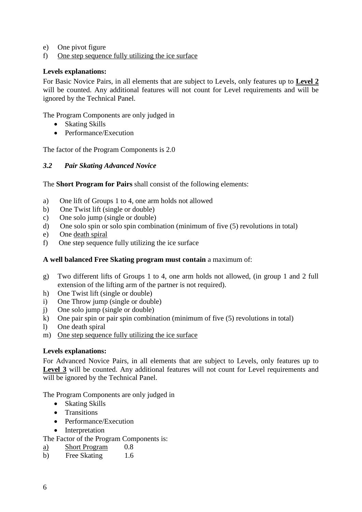- e) One pivot figure
- f) One step sequence fully utilizing the ice surface

#### **Levels explanations:**

For Basic Novice Pairs, in all elements that are subject to Levels, only features up to **Level 2** will be counted. Any additional features will not count for Level requirements and will be ignored by the Technical Panel.

The Program Components are only judged in

- Skating Skills
- Performance/Execution

The factor of the Program Components is 2.0

#### *3.2 Pair Skating Advanced Novice*

The **Short Program for Pairs** shall consist of the following elements:

- a) One lift of Groups 1 to 4, one arm holds not allowed
- b) One Twist lift (single or double)
- c) One solo jump (single or double)
- d) One solo spin or solo spin combination (minimum of five (5) revolutions in total)
- e) One death spiral
- f) One step sequence fully utilizing the ice surface

#### **A well balanced Free Skating program must contain** a maximum of:

- g) Two different lifts of Groups 1 to 4, one arm holds not allowed, (in group 1 and 2 full extension of the lifting arm of the partner is not required).
- h) One Twist lift (single or double)
- i) One Throw jump (single or double)
- j) One solo jump (single or double)
- k) One pair spin or pair spin combination (minimum of five (5) revolutions in total)
- l) One death spiral
- m) One step sequence fully utilizing the ice surface

# **Levels explanations:**

For Advanced Novice Pairs, in all elements that are subject to Levels, only features up to Level 3 will be counted. Any additional features will not count for Level requirements and will be ignored by the Technical Panel.

The Program Components are only judged in

- Skating Skills
- Transitions
- Performance/Execution
- Interpretation

The Factor of the Program Components is:

- a) Short Program 0.8
- b) Free Skating 1.6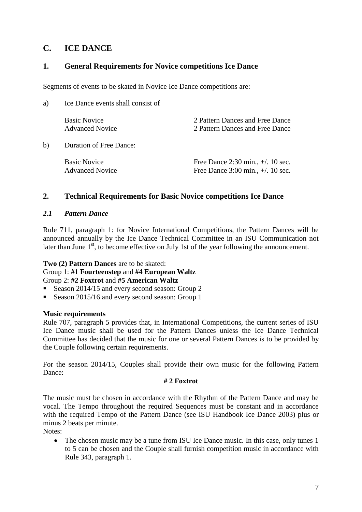# **C. ICE DANCE**

# **1. General Requirements for Novice competitions Ice Dance**

Segments of events to be skated in Novice Ice Dance competitions are:

| a) | Ice Dance events shall consist of             |                                                                                                         |  |
|----|-----------------------------------------------|---------------------------------------------------------------------------------------------------------|--|
|    | <b>Basic Novice</b><br><b>Advanced Novice</b> | 2 Pattern Dances and Free Dance<br>2 Pattern Dances and Free Dance                                      |  |
| b) | <b>Duration of Free Dance:</b>                |                                                                                                         |  |
|    | <b>Basic Novice</b><br><b>Advanced Novice</b> | Free Dance $2:30 \text{ min.} +1.10 \text{ sec.}$<br>Free Dance $3:00 \text{ min.}, +/.10 \text{ sec.}$ |  |

# **2. Technical Requirements for Basic Novice competitions Ice Dance**

#### *2.1 Pattern Dance*

Rule 711, paragraph 1: for Novice International Competitions, the Pattern Dances will be announced annually by the Ice Dance Technical Committee in an ISU Communication not later than June  $1<sup>st</sup>$ , to become effective on July 1st of the year following the announcement.

# **Two (2) Pattern Dances** are to be skated:

#### Group 1: **#1 Fourteenstep** and **#4 European Waltz**  Group 2: **#2 Foxtrot** and **#5 American Waltz**

- Season 2014/15 and every second season: Group 2
- Season 2015/16 and every second season: Group 1

# **Music requirements**

Rule 707, paragraph 5 provides that, in International Competitions, the current series of ISU Ice Dance music shall be used for the Pattern Dances unless the Ice Dance Technical Committee has decided that the music for one or several Pattern Dances is to be provided by the Couple following certain requirements.

For the season 2014/15, Couples shall provide their own music for the following Pattern Dance:

#### **# 2 Foxtrot**

The music must be chosen in accordance with the Rhythm of the Pattern Dance and may be vocal. The Tempo throughout the required Sequences must be constant and in accordance with the required Tempo of the Pattern Dance (see ISU Handbook Ice Dance 2003) plus or minus 2 beats per minute.

Notes:

• The chosen music may be a tune from ISU Ice Dance music. In this case, only tunes 1 to 5 can be chosen and the Couple shall furnish competition music in accordance with Rule 343, paragraph 1.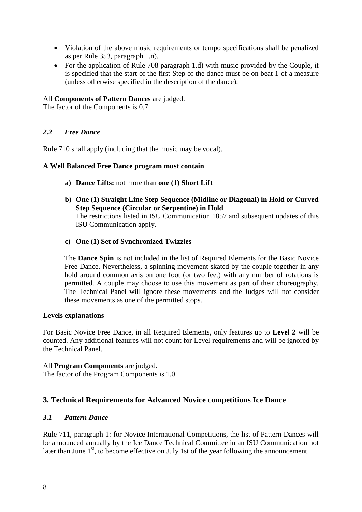- Violation of the above music requirements or tempo specifications shall be penalized as per Rule 353, paragraph 1.n).
- For the application of Rule 708 paragraph 1.d) with music provided by the Couple, it is specified that the start of the first Step of the dance must be on beat 1 of a measure (unless otherwise specified in the description of the dance).

# All **Components of Pattern Dances** are judged.

The factor of the Components is 0.7.

# *2.2 Free Dance*

Rule 710 shall apply (including that the music may be vocal).

#### **A Well Balanced Free Dance program must contain**

- **a) Dance Lifts:** not more than **one (1) Short Lift**
- **b) One (1) Straight Line Step Sequence (Midline or Diagonal) in Hold or Curved Step Sequence (Circular or Serpentine) in Hold** The restrictions listed in ISU Communication 1857 and subsequent updates of this ISU Communication apply.
- **c) One (1) Set of Synchronized Twizzles**

The **Dance Spin** is not included in the list of Required Elements for the Basic Novice Free Dance. Nevertheless, a spinning movement skated by the couple together in any hold around common axis on one foot (or two feet) with any number of rotations is permitted. A couple may choose to use this movement as part of their choreography. The Technical Panel will ignore these movements and the Judges will not consider these movements as one of the permitted stops.

#### **Levels explanations**

For Basic Novice Free Dance, in all Required Elements, only features up to **Level 2** will be counted. Any additional features will not count for Level requirements and will be ignored by the Technical Panel.

#### All **Program Components** are judged.

The factor of the Program Components is 1.0

# **3. Technical Requirements for Advanced Novice competitions Ice Dance**

# *3.1 Pattern Dance*

Rule 711, paragraph 1: for Novice International Competitions, the list of Pattern Dances will be announced annually by the Ice Dance Technical Committee in an ISU Communication not later than June  $1<sup>st</sup>$ , to become effective on July 1st of the year following the announcement.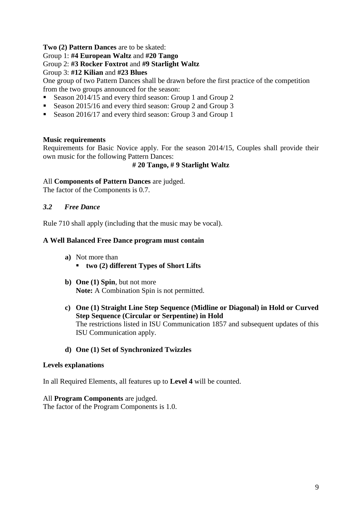### **Two (2) Pattern Dances** are to be skated:

Group 1: **#4 European Waltz** and **#20 Tango** 

#### Group 2: **#3 Rocker Foxtrot** and **#9 Starlight Waltz**

Group 3: **#12 Kilian** and **#23 Blues** 

One group of two Pattern Dances shall be drawn before the first practice of the competition from the two groups announced for the season:

- Season 2014/15 and every third season: Group 1 and Group 2
- Season 2015/16 and every third season: Group 2 and Group 3
- Season 2016/17 and every third season: Group 3 and Group 1

#### **Music requirements**

Requirements for Basic Novice apply. For the season 2014/15, Couples shall provide their own music for the following Pattern Dances:

#### **# 20 Tango, # 9 Starlight Waltz**

#### All **Components of Pattern Dances** are judged.

The factor of the Components is 0.7.

#### *3.2 Free Dance*

Rule 710 shall apply (including that the music may be vocal).

#### **A Well Balanced Free Dance program must contain**

- **a)** Not more than
	- **two (2) different Types of Short Lifts**
- **b) One (1) Spin**, but not more **Note:** A Combination Spin is not permitted.
- **c) One (1) Straight Line Step Sequence (Midline or Diagonal) in Hold or Curved Step Sequence (Circular or Serpentine) in Hold** The restrictions listed in ISU Communication 1857 and subsequent updates of this ISU Communication apply.

#### **d) One (1) Set of Synchronized Twizzles**

#### **Levels explanations**

In all Required Elements, all features up to **Level 4** will be counted.

#### All **Program Components** are judged.

The factor of the Program Components is 1.0.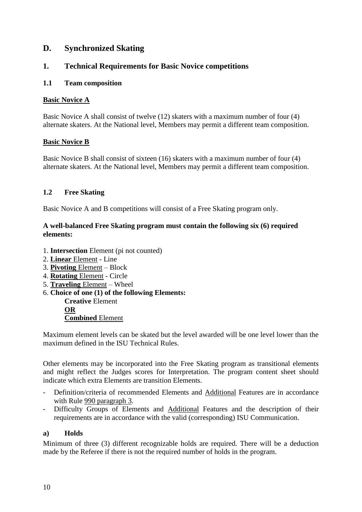# **D. Synchronized Skating**

# **1. Technical Requirements for Basic Novice competitions**

# **1.1 Team composition**

#### **Basic Novice A**

Basic Novice A shall consist of twelve (12) skaters with a maximum number of four (4) alternate skaters. At the National level, Members may permit a different team composition.

#### **Basic Novice B**

Basic Novice B shall consist of sixteen (16) skaters with a maximum number of four (4) alternate skaters. At the National level, Members may permit a different team composition.

# **1.2 Free Skating**

Basic Novice A and B competitions will consist of a Free Skating program only.

### **A well-balanced Free Skating program must contain the following six (6) required elements:**

- 1. **Intersection** Element (pi not counted)
- 2. **Linear** Element Line
- 3. **Pivoting** Element Block
- 4. **Rotating** Element Circle
- 5. **Traveling** Element Wheel
- 6. **Choice of one (1) of the following Elements:**

**Creative** Element **OR Combined** Element

Maximum element levels can be skated but the level awarded will be one level lower than the maximum defined in the ISU Technical Rules.

Other elements may be incorporated into the Free Skating program as transitional elements and might reflect the Judges scores for Interpretation. The program content sheet should indicate which extra Elements are transition Elements.

- Definition/criteria of recommended Elements and Additional Features are in accordance with Rule 990 paragraph 3.
- Difficulty Groups of Elements and Additional Features and the description of their requirements are in accordance with the valid (corresponding) ISU Communication.

# **a) Holds**

Minimum of three (3) different recognizable holds are required. There will be a deduction made by the Referee if there is not the required number of holds in the program.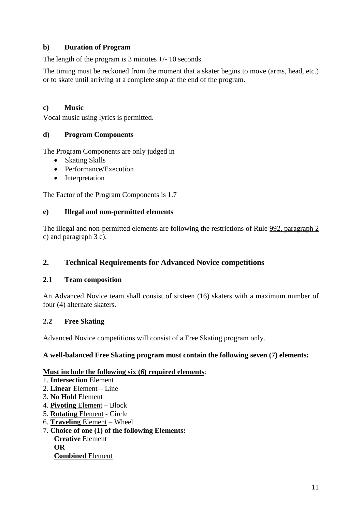# **b) Duration of Program**

The length of the program is 3 minutes +/- 10 seconds.

The timing must be reckoned from the moment that a skater begins to move (arms, head, etc.) or to skate until arriving at a complete stop at the end of the program.

# **c) Music**

Vocal music using lyrics is permitted.

# **d) Program Components**

The Program Components are only judged in

- Skating Skills
- Performance/Execution
- Interpretation

The Factor of the Program Components is 1.7

#### **e) Illegal and non-permitted elements**

The illegal and non-permitted elements are following the restrictions of Rule 992, paragraph 2 c) and paragraph 3 c).

# **2. Technical Requirements for Advanced Novice competitions**

#### **2.1 Team composition**

An Advanced Novice team shall consist of sixteen (16) skaters with a maximum number of four (4) alternate skaters.

# **2.2 Free Skating**

Advanced Novice competitions will consist of a Free Skating program only.

#### **A well-balanced Free Skating program must contain the following seven (7) elements:**

#### **Must include the following six (6) required elements**:

- 1. **Intersection** Element
- 2. **Linear** Element Line
- 3. **No Hold** Element
- 4. **Pivoting** Element Block
- 5. **Rotating** Element Circle
- 6. **Traveling** Element Wheel
- 7. **Choice of one (1) of the following Elements: Creative** Element **OR Combined** Element